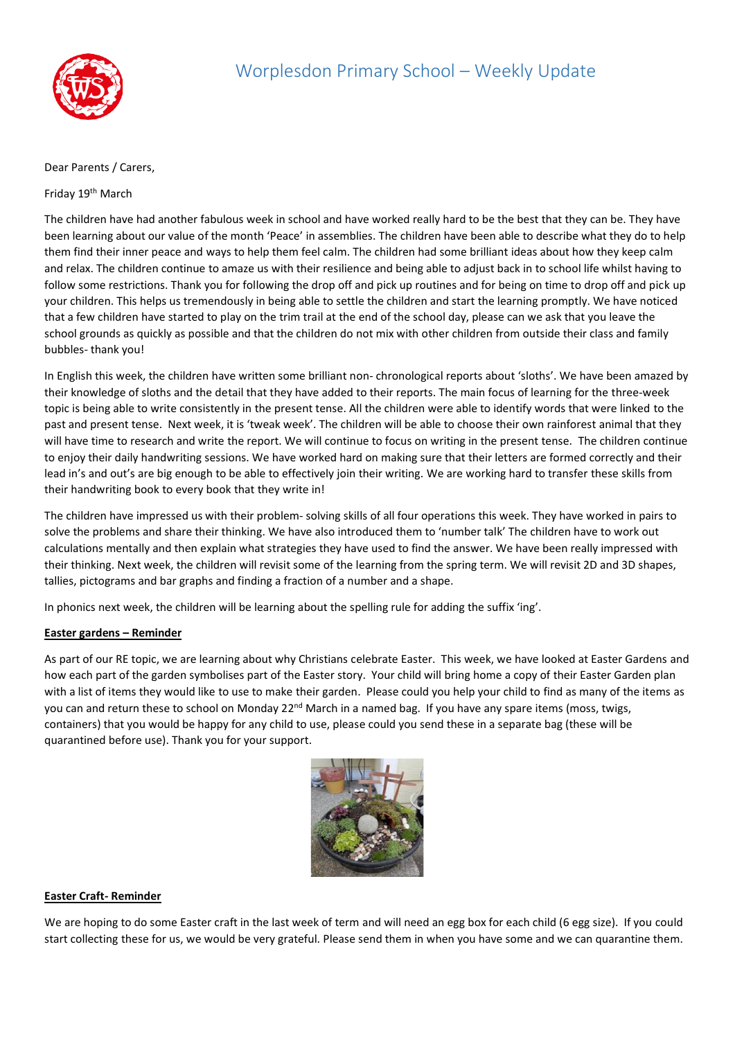

## Dear Parents / Carers,

## Friday 19<sup>th</sup> March

The children have had another fabulous week in school and have worked really hard to be the best that they can be. They have been learning about our value of the month 'Peace' in assemblies. The children have been able to describe what they do to help them find their inner peace and ways to help them feel calm. The children had some brilliant ideas about how they keep calm and relax. The children continue to amaze us with their resilience and being able to adjust back in to school life whilst having to follow some restrictions. Thank you for following the drop off and pick up routines and for being on time to drop off and pick up your children. This helps us tremendously in being able to settle the children and start the learning promptly. We have noticed that a few children have started to play on the trim trail at the end of the school day, please can we ask that you leave the school grounds as quickly as possible and that the children do not mix with other children from outside their class and family bubbles- thank you!

In English this week, the children have written some brilliant non- chronological reports about 'sloths'. We have been amazed by their knowledge of sloths and the detail that they have added to their reports. The main focus of learning for the three-week topic is being able to write consistently in the present tense. All the children were able to identify words that were linked to the past and present tense. Next week, it is 'tweak week'. The children will be able to choose their own rainforest animal that they will have time to research and write the report. We will continue to focus on writing in the present tense. The children continue to enjoy their daily handwriting sessions. We have worked hard on making sure that their letters are formed correctly and their lead in's and out's are big enough to be able to effectively join their writing. We are working hard to transfer these skills from their handwriting book to every book that they write in!

The children have impressed us with their problem- solving skills of all four operations this week. They have worked in pairs to solve the problems and share their thinking. We have also introduced them to 'number talk' The children have to work out calculations mentally and then explain what strategies they have used to find the answer. We have been really impressed with their thinking. Next week, the children will revisit some of the learning from the spring term. We will revisit 2D and 3D shapes, tallies, pictograms and bar graphs and finding a fraction of a number and a shape.

In phonics next week, the children will be learning about the spelling rule for adding the suffix 'ing'.

## **Easter gardens – Reminder**

As part of our RE topic, we are learning about why Christians celebrate Easter. This week, we have looked at Easter Gardens and how each part of the garden symbolises part of the Easter story. Your child will bring home a copy of their Easter Garden plan with a list of items they would like to use to make their garden. Please could you help your child to find as many of the items as you can and return these to school on Monday 22<sup>nd</sup> March in a named bag. If you have any spare items (moss, twigs, containers) that you would be happy for any child to use, please could you send these in a separate bag (these will be quarantined before use). Thank you for your support.



## **Easter Craft- Reminder**

We are hoping to do some Easter craft in the last week of term and will need an egg box for each child (6 egg size). If you could start collecting these for us, we would be very grateful. Please send them in when you have some and we can quarantine them.